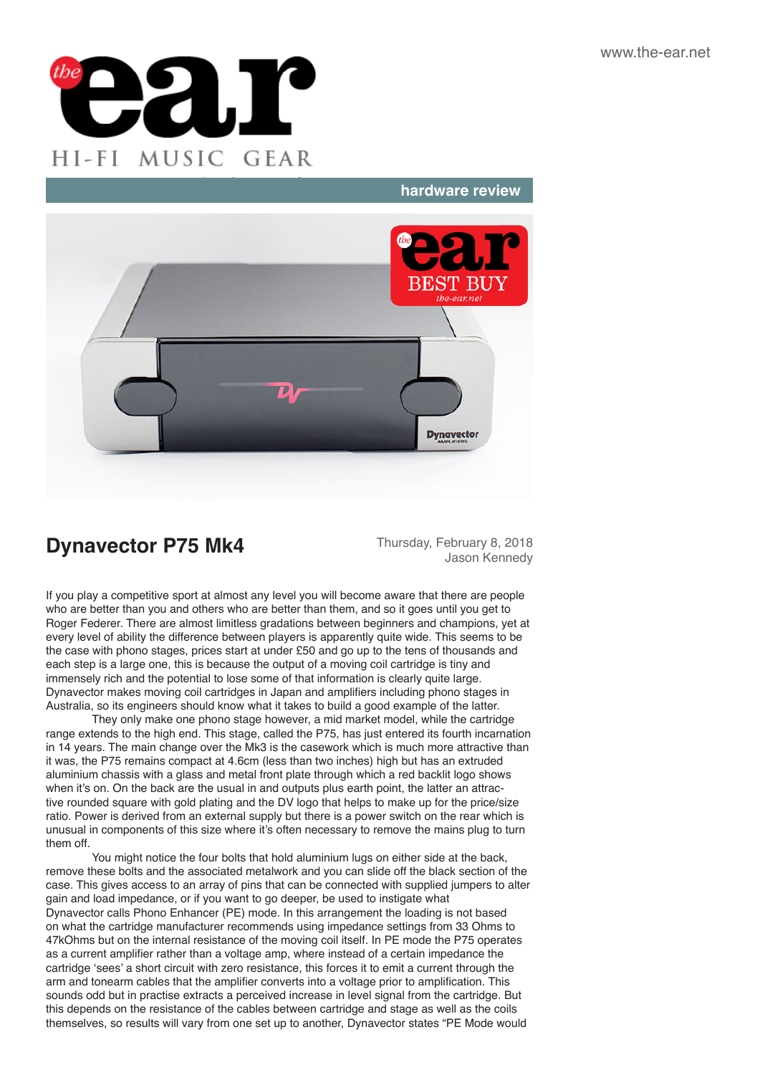

### **hardware review**



# **Dynavector P75 Mk4** Thursday, February 8, 2018

Jason Kennedy

If you play a competitive sport at almost any level you will become aware that there are people who are better than you and others who are better than them, and so it goes until you get to Roger Federer. There are almost limitless gradations between beginners and champions, yet at every level of ability the difference between players is apparently quite wide. This seems to be the case with phono stages, prices start at under £50 and go up to the tens of thousands and each step is a large one, this is because the output of a moving coil cartridge is tiny and immensely rich and the potential to lose some of that information is clearly quite large. Dynavector makes moving coil cartridges in Japan and amplifiers including phono stages in Australia, so its engineers should know what it takes to build a good example of the latter.

They only make one phono stage however, a mid market model, while the cartridge range extends to the high end. This stage, called the P75, has just entered its fourth incarnation in 14 years. The main change over the Mk3 is the casework which is much more attractive than it was, the P75 remains compact at 4.6cm (less than two inches) high but has an extruded aluminium chassis with a glass and metal front plate through which a red backlit logo shows when it's on. On the back are the usual in and outputs plus earth point, the latter an attractive rounded square with gold plating and the DV logo that helps to make up for the price/size ratio. Power is derived from an external supply but there is a power switch on the rear which is unusual in components of this size where it's often necessary to remove the mains plug to turn them off.

You might notice the four bolts that hold aluminium lugs on either side at the back, remove these bolts and the associated metalwork and you can slide off the black section of the case. This gives access to an array of pins that can be connected with supplied jumpers to alter gain and load impedance, or if you want to go deeper, be used to instigate what Dynavector calls Phono Enhancer (PE) mode. In this arrangement the loading is not based on what the cartridge manufacturer recommends using impedance settings from 33 Ohms to 47kOhms but on the internal resistance of the moving coil itself. In PE mode the P75 operates as a current amplifier rather than a voltage amp, where instead of a certain impedance the cartridge 'sees' a short circuit with zero resistance, this forces it to emit a current through the arm and tonearm cables that the amplifier converts into a voltage prior to amplification. This sounds odd but in practise extracts a perceived increase in level signal from the cartridge. But this depends on the resistance of the cables between cartridge and stage as well as the coils themselves, so results will vary from one set up to another, Dynavector states "PE Mode would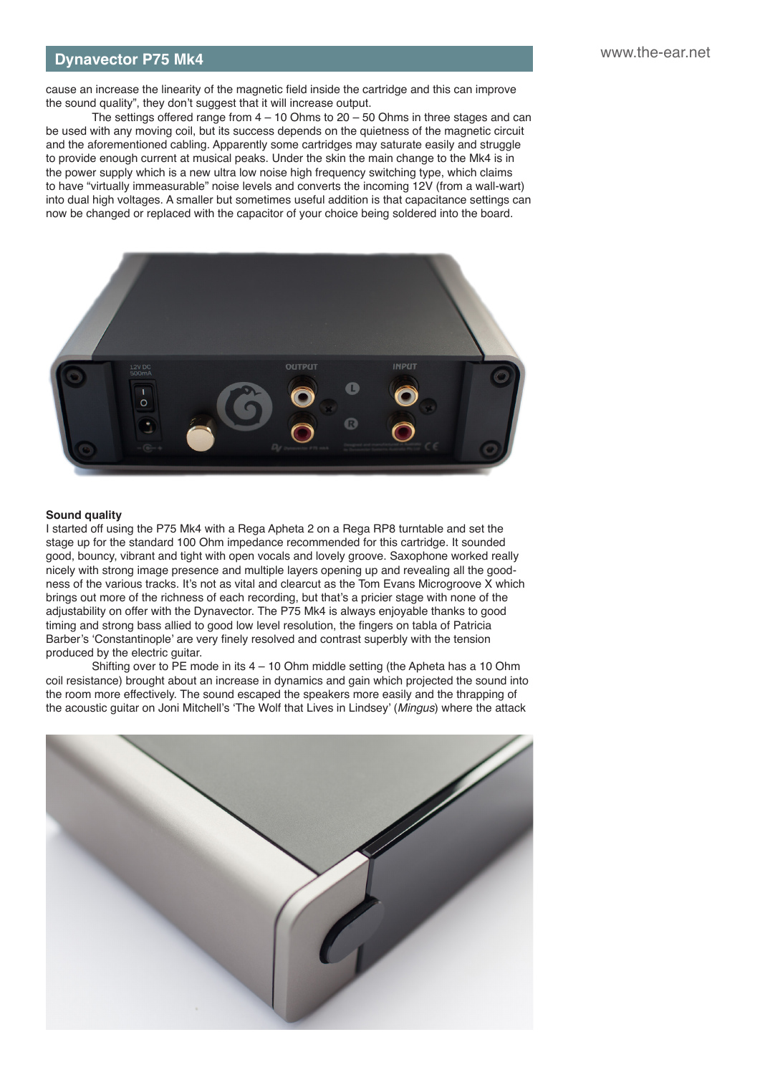### **hardware review 1975 Mk4 Dynavector P75 Mk4** *https://www.the-ear.net* **<b>bynavector P75 Mk4**

cause an increase the linearity of the magnetic field inside the cartridge and this can improve the sound quality", they don't suggest that it will increase output.

The settings offered range from  $4 - 10$  Ohms to  $20 - 50$  Ohms in three stages and can be used with any moving coil, but its success depends on the quietness of the magnetic circuit and the aforementioned cabling. Apparently some cartridges may saturate easily and struggle to provide enough current at musical peaks. Under the skin the main change to the Mk4 is in the power supply which is a new ultra low noise high frequency switching type, which claims to have "virtually immeasurable" noise levels and converts the incoming 12V (from a wall-wart) into dual high voltages. A smaller but sometimes useful addition is that capacitance settings can now be changed or replaced with the capacitor of your choice being soldered into the board.



#### **Sound quality**

I started off using the P75 Mk4 with a Rega Apheta 2 on a Rega RP8 turntable and set the stage up for the standard 100 Ohm impedance recommended for this cartridge. It sounded good, bouncy, vibrant and tight with open vocals and lovely groove. Saxophone worked really nicely with strong image presence and multiple layers opening up and revealing all the goodness of the various tracks. It's not as vital and clearcut as the Tom Evans Microgroove X which brings out more of the richness of each recording, but that's a pricier stage with none of the adjustability on offer with the Dynavector. The P75 Mk4 is always enjoyable thanks to good timing and strong bass allied to good low level resolution, the fingers on tabla of Patricia Barber's 'Constantinople' are very finely resolved and contrast superbly with the tension produced by the electric guitar.

Shifting over to PE mode in its  $4 - 10$  Ohm middle setting (the Apheta has a 10 Ohm coil resistance) brought about an increase in dynamics and gain which projected the sound into the room more effectively. The sound escaped the speakers more easily and the thrapping of the acoustic guitar on Joni Mitchell's 'The Wolf that Lives in Lindsey' (*Mingus*) where the attack